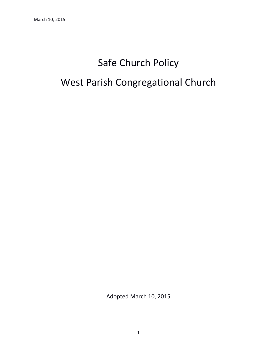# Safe Church Policy

# West Parish Congregational Church

Adopted March 10, 2015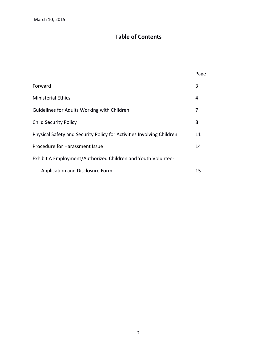# **Table of Contents**

|                                                                       | Page |
|-----------------------------------------------------------------------|------|
| Forward                                                               | 3    |
| <b>Ministerial Ethics</b>                                             | 4    |
| Guidelines for Adults Working with Children                           | 7    |
| <b>Child Security Policy</b>                                          | 8    |
| Physical Safety and Security Policy for Activities Involving Children | 11   |
| Procedure for Harassment Issue                                        |      |
| Exhibit A Employment/Authorized Children and Youth Volunteer          |      |
| Application and Disclosure Form                                       | 15   |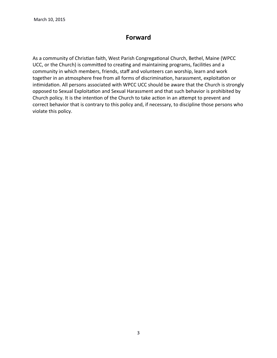# **Forward**

As a community of Christian faith, West Parish Congregational Church, Bethel, Maine (WPCC UCC, or the Church) is commited to creatng and maintaining programs, facilites and a community in which members, friends, staff and volunteers can worship, learn and work together in an atmosphere free from all forms of discrimination, harassment, exploitation or intimidation. All persons associated with WPCC UCC should be aware that the Church is strongly opposed to Sexual Exploitation and Sexual Harassment and that such behavior is prohibited by Church policy. It is the intention of the Church to take action in an attempt to prevent and correct behavior that is contrary to this policy and, if necessary, to discipline those persons who violate this policy.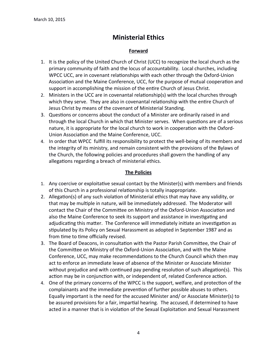# **Ministerial Ethics**

## **Forward**

- 1. It is the policy of the United Church of Christ (UCC) to recognize the local church as the primary community of faith and the locus of accountability. Local churches, including WPCC UCC, are in covenant relationships with each other through the Oxford-Union Association and the Maine Conference, UCC, for the purpose of mutual cooperation and support in accomplishing the mission of the entre Church of Jesus Christ.
- 2. Ministers in the UCC are in covenantal relationship(s) with the local churches through which they serve. They are also in covenantal relationship with the entire Church of Jesus Christ by means of the covenant of Ministerial Standing.
- 3. Questions or concerns about the conduct of a Minister are ordinarily raised in and through the local Church in which that Minister serves. When questions are of a serious nature, it is appropriate for the local church to work in cooperaton with the Oxford-Union Associaton and the Maine Conference, UCC.
- 4. In order that WPCC fulfill its responsibility to protect the well-being of its members and the integrity of its ministry, and remain consistent with the provisions of the Bylaws of the Church, the following policies and procedures shall govern the handling of any allegations regarding a breach of ministerial ethics.

## **The Policies**

- 1. Any coercive or exploitative sexual contact by the Minister(s) with members and friends of this Church in a professional relatonship is totally inappropriate.
- 2. Allegation(s) of any such violation of Ministerial ethics that may have any validity, or that may be multiple in nature, will be immediately addressed. The Moderator will contact the Chair of the Commitee on Ministry of the Oxford-Union Associaton and also the Maine Conference to seek its support and assistance in investigating and adjudicating this matter. The Conference will immediately initiate an investigation as stpulated by its Policy on Sexual Harassment as adopted in September 1987 and as from time to time officially revised.
- 3. The Board of Deacons, in consultaton with the Pastor Parish Commitee, the Chair of the Commitee on Ministry of the Oxford-Union Associaton, and with the Maine Conference, UCC, may make recommendatons to the Church Council which then may act to enforce an immediate leave of absence of the Minister or Associate Minister without prejudice and with continued pay pending resolution of such allegation(s). This action may be in conjunction with, or independent of, related Conference action.
- 4. One of the primary concerns of the WPCC is the support, welfare, and protection of the complainants and the immediate prevention of further possible abuses to others. Equally important is the need for the accused Minister and/ or Associate Minister(s) to be assured provisions for a fair, impartial hearing. The accused, if determined to have acted in a manner that is in violation of the Sexual Exploitation and Sexual Harassment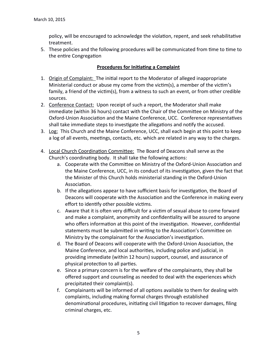policy, will be encouraged to acknowledge the violation, repent, and seek rehabilitative treatment.

5. These policies and the following procedures will be communicated from time to time to the entire Congregation

### **Procedures for Initiating a Complaint**

- 1. Origin of Complaint: The inital report to the Moderator of alleged inappropriate Ministerial conduct or abuse my come from the victim(s), a member of the victim's family, a friend of the victim(s), from a witness to such an event, or from other credible sources.
- 2. Conference Contact: Upon receipt of such a report, the Moderator shall make immediate (within 36 hours) contact with the Chair of the Commitee on Ministry of the Oxford-Union Association and the Maine Conference, UCC. Conference representatives shall take immediate steps to investigate the allegations and notify the accused.
- 3. Log: This Church and the Maine Conference, UCC, shall each begin at this point to keep a log of all events, meetings, contacts, etc. which are related in any way to the charges.
- 4. Local Church Coordination Committee: The Board of Deacons shall serve as the Church's coordinating body. It shall take the following actions:
	- a. Cooperate with the Commitee on Ministry of the Oxford-Union Associaton and the Maine Conference, UCC, in its conduct of its investigation, given the fact that the Minister of this Church holds ministerial standing in the Oxford-Union Association.
	- b. If the allegations appear to have sufficient basis for investigation, the Board of Deacons will cooperate with the Association and the Conference in making every effort to identify other possible victims.
	- c. Aware that it is often very difficult for a victim of sexual abuse to come forward and make a complaint, anonymity and confdentality will be assured to anyone who offers information at this point of the investigation. However, confidential statements must be submitted in writing to the Association's Committee on Ministry by the complainant for the Association's investigation.
	- d. The Board of Deacons will cooperate with the Oxford-Union Associaton, the Maine Conference, and local authorites, including police and judicial, in providing immediate (within 12 hours) support, counsel, and assurance of physical protection to all parties.
	- e. Since a primary concern is for the welfare of the complainants, they shall be offered support and counseling as needed to deal with the experiences which precipitated their complaint(s).
	- f. Complainants will be informed of all options available to them for dealing with complaints, including making formal charges through established denominational procedures, initiating civil litigation to recover damages, filing criminal charges, etc.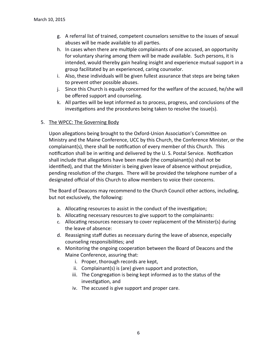- g. A referral list of trained, competent counselors sensitive to the issues of sexual abuses will be made available to all parties.
- h. In cases when there are multiple complainants of one accused, an opportunity for voluntary sharing among them will be made available. Such persons, it is intended, would thereby gain healing insight and experience mutual support in a group facilitated by an experienced, caring counselor.
- i. Also, these individuals will be given fullest assurance that steps are being taken to prevent other possible abuses.
- j. Since this Church is equally concerned for the welfare of the accused, he/she will be offered support and counseling.
- k. All partes will be kept informed as to process, progress, and conclusions of the investigations and the procedures being taken to resolve the issue(s).

#### 5. The WPCC: The Governing Body

Upon allegations being brought to the Oxford-Union Association's Committee on Ministry and the Maine Conference, UCC by this Church, the Conference Minister, or the complainant(s), there shall be notification of every member of this Church. This notification shall be in writing and delivered by the U.S. Postal Service. Notification shall include that allegations have been made (the complainant(s) shall not be identified), and that the Minister is being given leave of absence without prejudice, pending resolution of the charges. There will be provided the telephone number of a designated official of this Church to allow members to voice their concerns.

The Board of Deacons may recommend to the Church Council other actions, including, but not exclusively, the following:

- a. Allocating resources to assist in the conduct of the investigation;
- b. Allocating necessary resources to give support to the complainants:
- c. Allocating resources necessary to cover replacement of the Minister(s) during the leave of absence:
- d. Reassigning staff duties as necessary during the leave of absence, especially counseling responsibilities; and
- e. Monitoring the ongoing cooperation between the Board of Deacons and the Maine Conference, assuring that:
	- i. Proper, thorough records are kept,
	- ii. Complainant(s) is (are) given support and protection,
	- iii. The Congregation is being kept informed as to the status of the investigation, and
	- iv. The accused is give support and proper care.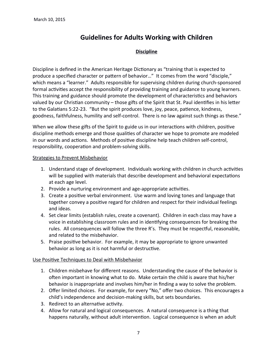# **Guidelines for Adults Working with Children**

## **Discipline**

Discipline is defined in the American Heritage Dictionary as "training that is expected to produce a specified character or pattern of behavior..." It comes from the word "disciple," which means a "learner." Adults responsible for supervising children during church-sponsored formal activities accept the responsibility of providing training and guidance to young learners. This training and guidance should promote the development of characteristics and behaviors valued by our Christian community – those gifts of the Spirit that St. Paul identifies in his letter to the Galatians 5:22-23. "But the spirit produces love, joy, peace, patience, kindness, goodness, faithfulness, humility and self-control. There is no law against such things as these."

When we allow these gifts of the Spirit to guide us in our interactions with children, positive discipline methods emerge and those qualites of character we hope to promote are modeled in our words and actions. Methods of positive discipline help teach children self-control, responsibility, cooperation and problem-solving skills.

#### Strategies to Prevent Misbehavior

- 1. Understand stage of development. Individuals working with children in church activities will be supplied with materials that describe development and behavioral expectations at each age level.
- 2. Provide a nurturing environment and age-appropriate activities.
- 3. Create a positive verbal environment. Use warm and loving tones and language that together convey a positive regard for children and respect for their individual feelings and ideas.
- 4. Set clear limits (establish rules, create a covenant). Children in each class may have a voice in establishing classroom rules and in identifying consequences for breaking the rules. All consequences will follow the three R's. They must be respectful, reasonable, and related to the misbehavior.
- 5. Praise positive behavior. For example, it may be appropriate to ignore unwanted behavior as long as it is not harmful or destructive.

## Use Positive Techniques to Deal with Misbehavior

- 1. Children misbehave for different reasons. Understanding the cause of the behavior is ofen important in knowing what to do. Make certain the child is aware that his/her behavior is inappropriate and involves him/her in finding a way to solve the problem.
- 2. Offer limited choices. For example, for every "No," offer two choices. This encourages a child's independence and decision-making skills, but sets boundaries.
- 3. Redirect to an alternative activity.
- 4. Allow for natural and logical consequences. A natural consequence is a thing that happens naturally, without adult intervention. Logical consequence is when an adult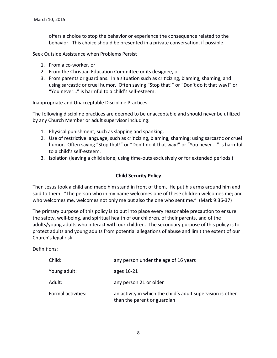offers a choice to stop the behavior or experience the consequence related to the behavior. This choice should be presented in a private conversation, if possible.

#### Seek Outside Assistance when Problems Persist

- 1. From a co-worker, or
- 2. From the Christian Education Committee or its designee, or
- 3. From parents or guardians. In a situation such as criticizing, blaming, shaming, and using sarcastic or cruel humor. Often saying "Stop that!" or "Don't do it that way!" or "You never..." is harmful to a child's self-esteem.

#### Inappropriate and Unacceptable Discipline Practices

The following discipline practices are deemed to be unacceptable and should never be utilized by any Church Member or adult supervisor including:

- 1. Physical punishment, such as slapping and spanking.
- 2. Use of restrictive language, such as criticizing, blaming, shaming; using sarcastic or cruel humor. Often saying "Stop that!" or "Don't do it that way!" or "You never ..." is harmful to a child's self-esteem.
- 3. Isolation (leaving a child alone, using time-outs exclusively or for extended periods.)

### **Child Security Policy**

Then Jesus took a child and made him stand in front of them. He put his arms around him and said to them: "The person who in my name welcomes one of these children welcomes me; and who welcomes me, welcomes not only me but also the one who sent me." (Mark 9:36-37)

The primary purpose of this policy is to put into place every reasonable precaution to ensure the safety, well-being, and spiritual health of our children, of their parents, and of the adults/young adults who interact with our children. The secondary purpose of this policy is to protect adults and young adults from potental allegatons of abuse and limit the extent of our Church's legal risk.

Definitions:

| Child:             | any person under the age of 16 years                                                       |
|--------------------|--------------------------------------------------------------------------------------------|
| Young adult:       | ages 16-21                                                                                 |
| Adult:             | any person 21 or older                                                                     |
| Formal activities: | an activity in which the child's adult supervision is other<br>than the parent or guardian |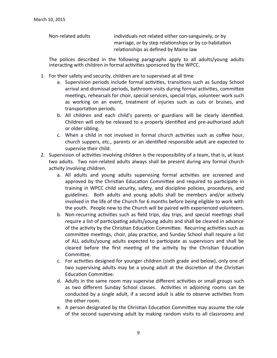Non-related adults individuals not related either con-sanguinely, or by marriage, or by step relatonships or by co-habitaton relationships as defined by Maine law

The polices described in the following paragraphs apply to all adults/young adults interacting with children in formal activities sponsored by the WPCC.

- 1. For their safety and security, children are to supervised at all time
	- a. Supervision periods include formal activities, transitions such as Sunday School arrival and dismissal periods, bathroom visits during formal activities, committee meetings, rehearsals for choir, special services, special trips, volunteer work such as working on an event, treatment of injuries such as cuts or bruises, and transportation periods.
	- b. All children and each child's parents or guardians will be clearly identified. Children will only be released to a properly identified and pre-authorized adult or older sibling.
	- c. When a child in not involved in formal church activities such as coffee hour, church suppers, etc., parents or an identified responsible adult are expected to supervise their child.
- 2. Supervision of activities involving children is the responsibility of a team, that is, at least two adults. Two non-related adults always shall be present during any formal church activity involving children.
	- a. All adults and young adults supervising formal activities are screened and approved by the Christian Education Committee and required to participate in training in WPCC child security, safety, and discipline policies, procedures, and guidelines. Both adults and young adults shall be members and/or actively involved in the life of the Church for 6 months before being eligible to work with the youth. People new to the Church will be paired with experienced volunteers.
	- b. Non-recurring activities such as field trips, day trips, and special meetings shall require a list of participating adults/young adults and shall be cleared in advance of the activity by the Christian Education Committee. Recurring activities such as committee meetings, choir, play practice, and Sunday School shall require a list of ALL adults/young adults expected to participate as supervisors and shall be cleared before the first meeting of the activity by the Christian Education Commitee.
	- c. For activities designed for younger children (sixth grade and below), only one of two supervising adults may be a young adult at the discretion of the Christian Education Committee.
	- d. Adults in the same room may supervise different activities or small groups such as two different Sunday School classes. Activities in adjoining rooms can be conducted by a single adult, if a second adult is able to observe activities from the other room.
	- e. A person designated by the Christan Educaton Commitee may assume the role of the second supervising adult by making random visits to all classrooms and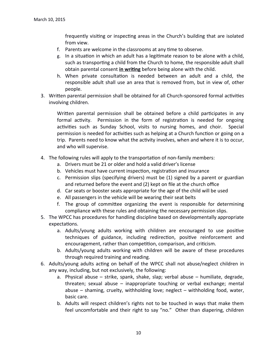frequently visiting or inspecting areas in the Church's building that are isolated from view.

- f. Parents are welcome in the classrooms at any time to observe.
- g. In a situation in which an adult has a legitimate reason to be alone with a child, such as transporting a child from the Church to home, the responsible adult shall obtain parental consent *in writing* before being alone with the child.
- h. When private consultation is needed between an adult and a child, the responsible adult shall use an area that is removed from, but in view of, other people.
- 3. Written parental permission shall be obtained for all Church-sponsored formal activities involving children.

Written parental permission shall be obtained before a child participates in any formal activity. Permission in the form of registration is needed for ongoing activities such as Sunday School, visits to nursing homes, and choir. Special permission is needed for activities such as helping at a Church function or going on a trip. Parents need to know what the activity involves, when and where it is to occur, and who will supervise.

- 4. The following rules will apply to the transportaton of non-family members:
	- a. Drivers must be 21 or older and hold a valid driver's license
	- b. Vehicles must have current inspection, registration and insurance
	- c. Permission slips (specifying drivers) must be (1) signed by a parent or guardian and returned before the event and (2) kept on file at the church office
	- d. Car seats or booster seats appropriate for the age of the child will be used
	- e. All passengers in the vehicle will be wearing their seat belts
	- f. The group of committee organizing the event is responsible for determining compliance with these rules and obtaining the necessary permission slips.
- 5. The WPCC has procedures for handling discipline based on developmentally appropriate expectations.
	- a. Adults/young adults working with children are encouraged to use positive techniques of guidance, including redirection, positive reinforcement and encouragement, rather than competition, comparison, and criticism.
	- b. Adults/young adults working with children will be aware of these procedures through required training and reading.
- 6. Adults/young adults acting on behalf of the WPCC shall not abuse/neglect children in any way, including, but not exclusively, the following:
	- a. Physical abuse strike, spank, shake, slap; verbal abuse humiliate, degrade, threaten; sexual abuse – inappropriate touching or verbal exchange; mental abuse – shaming, cruelty, withholding love; neglect – withholding food, water, basic care.
	- b. Adults will respect children's rights not to be touched in ways that make them feel uncomfortable and their right to say "no." Other than diapering, children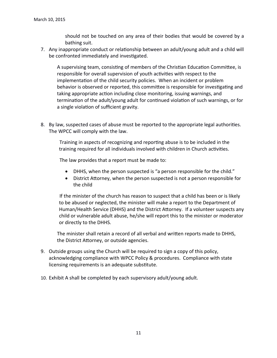should not be touched on any area of their bodies that would be covered by a bathing suit.

7. Any inappropriate conduct or relationship between an adult/young adult and a child will be confronted immediately and investigated.

A supervising team, consisting of members of the Christian Education Committee, is responsible for overall supervision of youth activities with respect to the implementaton of the child security policies. When an incident or problem behavior is observed or reported, this committee is responsible for investigating and taking appropriate action including close monitoring, issuing warnings, and termination of the adult/young adult for continued violation of such warnings, or for a single violation of sufficient gravity.

8. By law, suspected cases of abuse must be reported to the appropriate legal authorites. The WPCC will comply with the law.

 Training in aspects of recognizing and reportng abuse is to be included in the training required for all individuals involved with children in Church activities.

The law provides that a report must be made to:

- DHHS, when the person suspected is "a person responsible for the child."
- District Attorney, when the person suspected is not a person responsible for the child

If the minister of the church has reason to suspect that a child has been or is likely to be abused or neglected, the minister will make a report to the Department of Human/Health Service (DHHS) and the District Attorney. If a volunteer suspects any child or vulnerable adult abuse, he/she will report this to the minister or moderator or directly to the DHHS.

The minister shall retain a record of all verbal and written reports made to DHHS, the District Attorney, or outside agencies.

- 9. Outside groups using the Church will be required to sign a copy of this policy, acknowledging compliance with WPCC Policy & procedures. Compliance with state licensing requirements is an adequate substitute.
- 10. Exhibit A shall be completed by each supervisory adult/young adult.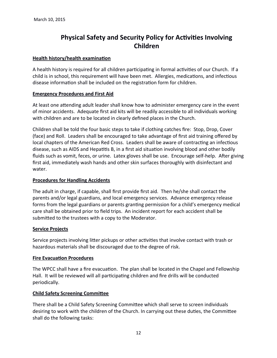# **Physical Safety and Security Policy for Activities Involving Children**

#### **Health history/health examination**

A health history is required for all children participating in formal activities of our Church. If a child is in school, this requirement will have been met. Allergies, medications, and infectious disease information shall be included on the registration form for children.

#### **Emergency Procedures and First Aid**

At least one attending adult leader shall know how to administer emergency care in the event of minor accidents. Adequate first aid kits will be readily accessible to all individuals working with children and are to be located in clearly defned places in the Church.

Children shall be told the four basic steps to take if clothing catches fire: Stop, Drop, Cover (face) and Roll. Leaders shall be encouraged to take advantage of first aid training offered by local chapters of the American Red Cross. Leaders shall be aware of contracting an infectious disease, such as AIDS and Hepatitis B, in a first aid situation involving blood and other bodily fluids such as vomit, feces, or urine. Latex gloves shall be use. Encourage self-help. After giving frst aid, immediately wash hands and other skin surfaces thoroughly with disinfectant and water.

## **Procedures for Handling Accidents**

The adult in charge, if capable, shall first provide first aid. Then he/she shall contact the parents and/or legal guardians, and local emergency services. Advance emergency release forms from the legal guardians or parents granting permission for a child's emergency medical care shall be obtained prior to feld trips. An incident report for each accident shall be submited to the trustees with a copy to the Moderator.

#### **Service Projects**

Service projects involving litter pickups or other activities that involve contact with trash or hazardous materials shall be discouraged due to the degree of risk.

#### **Fire Evacuation Procedures**

The WPCC shall have a fire evacuation. The plan shall be located in the Chapel and Fellowship Hall. It will be reviewed will all participating children and fire drills will be conducted periodically.

## **Child Safety Screening Committee**

There shall be a Child Safety Screening Committee which shall serve to screen individuals desiring to work with the children of the Church. In carrying out these duties, the Committee shall do the following tasks: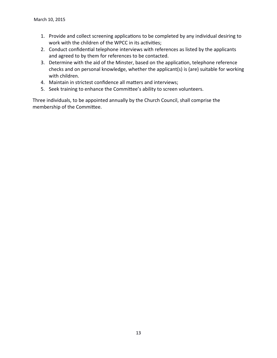- 1. Provide and collect screening applications to be completed by any individual desiring to work with the children of the WPCC in its activities;
- 2. Conduct confidential telephone interviews with references as listed by the applicants and agreed to by them for references to be contacted.
- 3. Determine with the aid of the Minster, based on the application, telephone reference checks and on personal knowledge, whether the applicant(s) is (are) suitable for working with children.
- 4. Maintain in strictest confidence all matters and interviews;
- 5. Seek training to enhance the Committee's ability to screen volunteers.

Three individuals, to be appointed annually by the Church Council, shall comprise the membership of the Commitee.